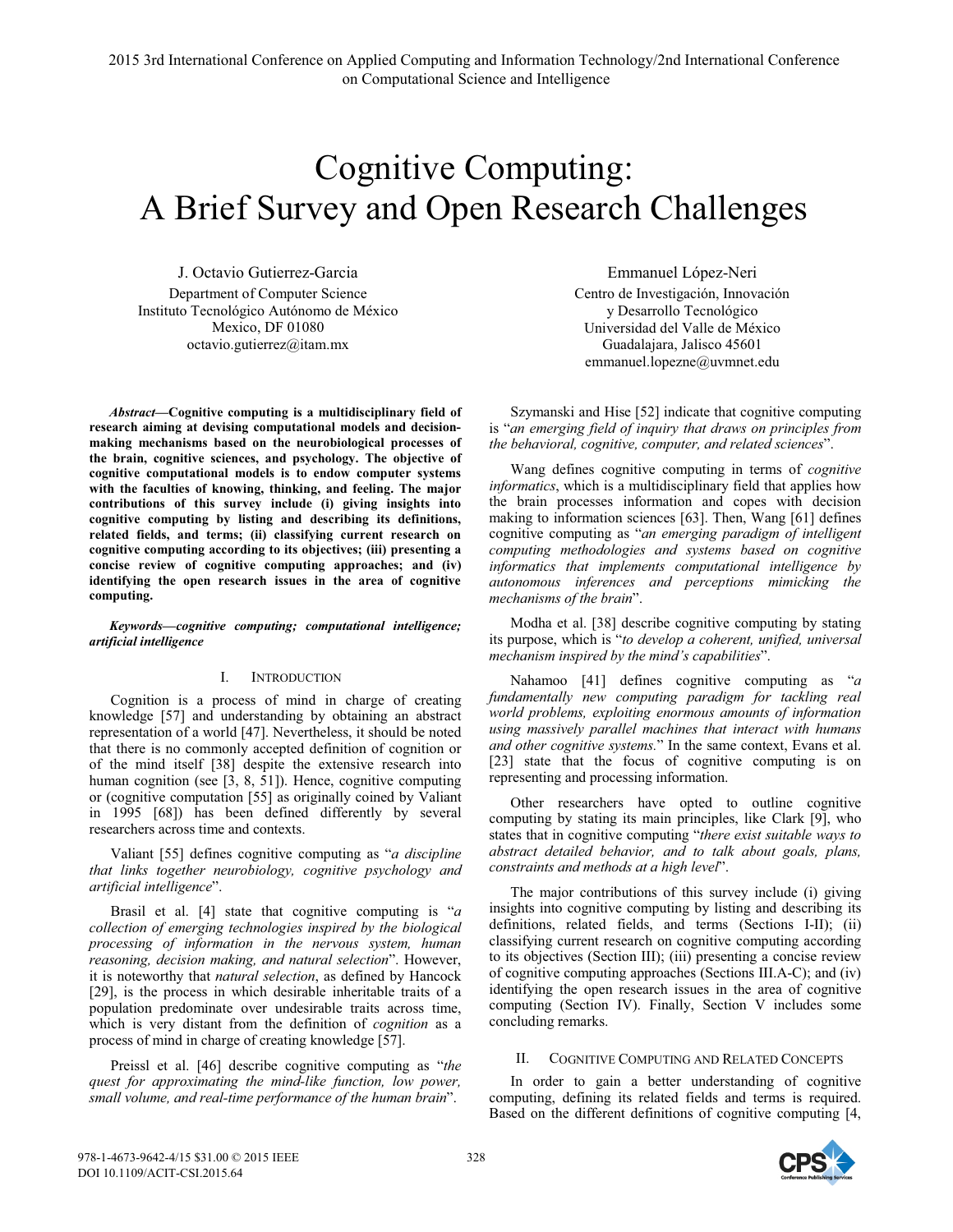# Cognitive Computing: A Brief Survey and Open Research Challenges

J. Octavio Gutierrez-Garcia Department of Computer Science Instituto Tecnológico Autónomo de México Mexico, DF 01080 octavio.gutierrez@itam.mx

*Abstract***—Cognitive computing is a multidisciplinary field of research aiming at devising computational models and decisionmaking mechanisms based on the neurobiological processes of the brain, cognitive sciences, and psychology. The objective of cognitive computational models is to endow computer systems with the faculties of knowing, thinking, and feeling. The major contributions of this survey include (i) giving insights into cognitive computing by listing and describing its definitions, related fields, and terms; (ii) classifying current research on cognitive computing according to its objectives; (iii) presenting a concise review of cognitive computing approaches; and (iv) identifying the open research issues in the area of cognitive computing.**

*Keywords—cognitive computing; computational intelligence; artificial intelligence* 

# I. INTRODUCTION

Cognition is a process of mind in charge of creating knowledge [57] and understanding by obtaining an abstract representation of a world [47]. Nevertheless, it should be noted that there is no commonly accepted definition of cognition or of the mind itself [38] despite the extensive research into human cognition (see [3, 8, 51]). Hence, cognitive computing or (cognitive computation [55] as originally coined by Valiant in 1995 [68]) has been defined differently by several researchers across time and contexts.

Valiant [55] defines cognitive computing as "*a discipline that links together neurobiology, cognitive psychology and artificial intelligence*".

Brasil et al. [4] state that cognitive computing is "*a collection of emerging technologies inspired by the biological processing of information in the nervous system, human reasoning, decision making, and natural selection*". However, it is noteworthy that *natural selection*, as defined by Hancock [29], is the process in which desirable inheritable traits of a population predominate over undesirable traits across time, which is very distant from the definition of *cognition* as a process of mind in charge of creating knowledge [57].

Preissl et al. [46] describe cognitive computing as "*the quest for approximating the mind-like function, low power, small volume, and real-time performance of the human brain*".

Emmanuel López-Neri Centro de Investigación, Innovación y Desarrollo Tecnológico Universidad del Valle de México Guadalajara, Jalisco 45601 emmanuel.lopezne@uvmnet.edu

Szymanski and Hise [52] indicate that cognitive computing is "*an emerging field of inquiry that draws on principles from the behavioral, cognitive, computer, and related sciences*".

Wang defines cognitive computing in terms of *cognitive informatics*, which is a multidisciplinary field that applies how the brain processes information and copes with decision making to information sciences [63]. Then, Wang [61] defines cognitive computing as "*an emerging paradigm of intelligent computing methodologies and systems based on cognitive informatics that implements computational intelligence by autonomous inferences and perceptions mimicking the mechanisms of the brain*".

Modha et al. [38] describe cognitive computing by stating its purpose, which is "*to develop a coherent, unified, universal mechanism inspired by the mind's capabilities*".

Nahamoo [41] defines cognitive computing as "*a fundamentally new computing paradigm for tackling real world problems, exploiting enormous amounts of information using massively parallel machines that interact with humans and other cognitive systems.*" In the same context, Evans et al. [23] state that the focus of cognitive computing is on representing and processing information.

Other researchers have opted to outline cognitive computing by stating its main principles, like Clark [9], who states that in cognitive computing "*there exist suitable ways to abstract detailed behavior, and to talk about goals, plans, constraints and methods at a high level*".

The major contributions of this survey include (i) giving insights into cognitive computing by listing and describing its definitions, related fields, and terms (Sections I-II); (ii) classifying current research on cognitive computing according to its objectives (Section III); (iii) presenting a concise review of cognitive computing approaches (Sections III.A-C); and (iv) identifying the open research issues in the area of cognitive computing (Section IV). Finally, Section V includes some concluding remarks.

## II. COGNITIVE COMPUTING AND RELATED CONCEPTS

In order to gain a better understanding of cognitive computing, defining its related fields and terms is required. Based on the different definitions of cognitive computing [4,

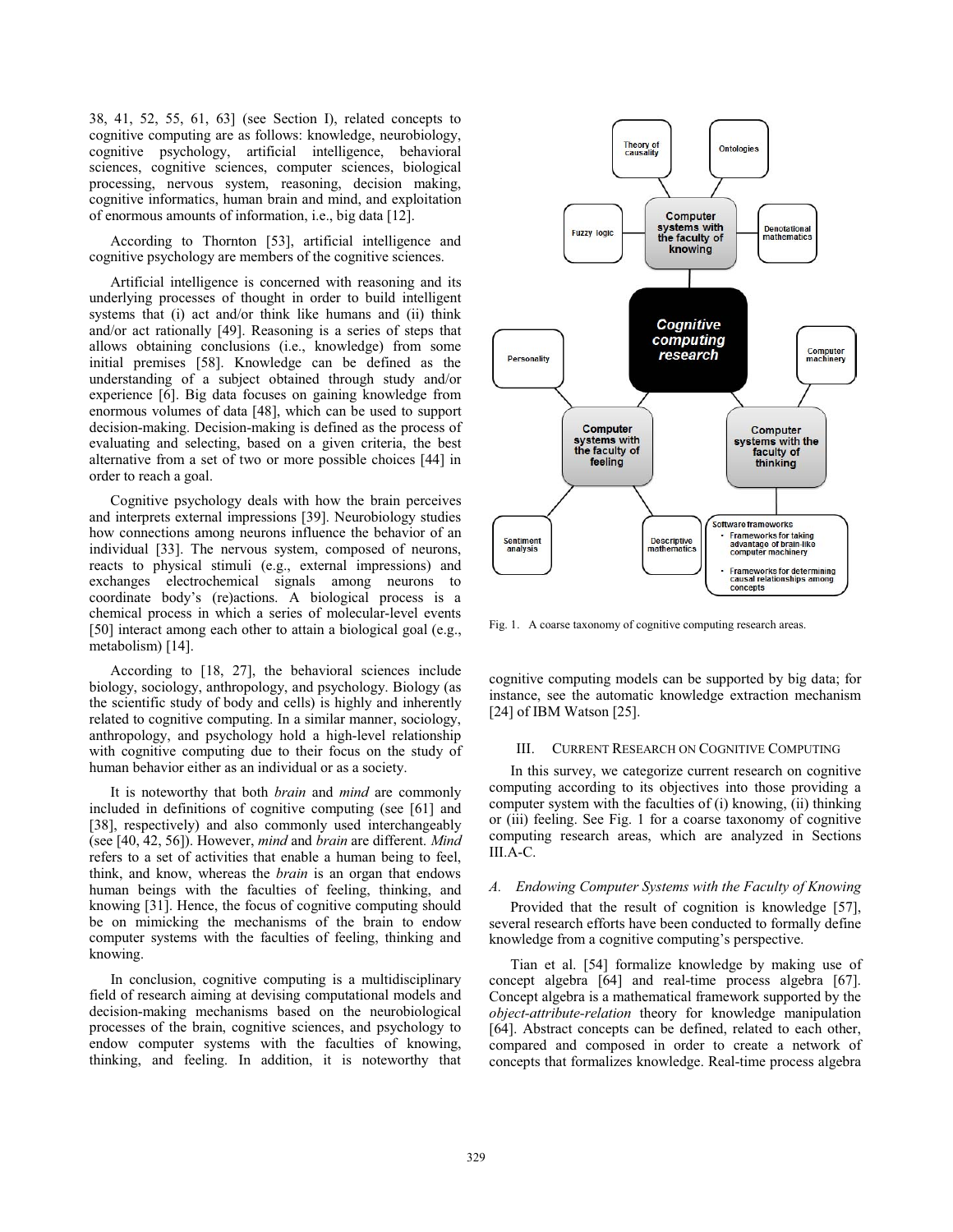38, 41, 52, 55, 61, 63] (see Section I), related concepts to cognitive computing are as follows: knowledge, neurobiology, cognitive psychology, artificial intelligence, behavioral sciences, cognitive sciences, computer sciences, biological processing, nervous system, reasoning, decision making, cognitive informatics, human brain and mind, and exploitation of enormous amounts of information, i.e., big data [12].

According to Thornton [53], artificial intelligence and cognitive psychology are members of the cognitive sciences.

Artificial intelligence is concerned with reasoning and its underlying processes of thought in order to build intelligent systems that (i) act and/or think like humans and (ii) think and/or act rationally [49]. Reasoning is a series of steps that allows obtaining conclusions (i.e., knowledge) from some initial premises [58]. Knowledge can be defined as the understanding of a subject obtained through study and/or experience [6]. Big data focuses on gaining knowledge from enormous volumes of data [48], which can be used to support decision-making. Decision-making is defined as the process of evaluating and selecting, based on a given criteria, the best alternative from a set of two or more possible choices [44] in order to reach a goal.

Cognitive psychology deals with how the brain perceives and interprets external impressions [39]. Neurobiology studies how connections among neurons influence the behavior of an individual [33]. The nervous system, composed of neurons, reacts to physical stimuli (e.g., external impressions) and exchanges electrochemical signals among neurons to coordinate body's (re)actions. A biological process is a chemical process in which a series of molecular-level events [50] interact among each other to attain a biological goal (e.g., metabolism) [14].

According to [18, 27], the behavioral sciences include biology, sociology, anthropology, and psychology. Biology (as the scientific study of body and cells) is highly and inherently related to cognitive computing. In a similar manner, sociology, anthropology, and psychology hold a high-level relationship with cognitive computing due to their focus on the study of human behavior either as an individual or as a society.

It is noteworthy that both *brain* and *mind* are commonly included in definitions of cognitive computing (see [61] and [38], respectively) and also commonly used interchangeably (see [40, 42, 56]). However, *mind* and *brain* are different. *Mind* refers to a set of activities that enable a human being to feel, think, and know, whereas the *brain* is an organ that endows human beings with the faculties of feeling, thinking, and knowing [31]. Hence, the focus of cognitive computing should be on mimicking the mechanisms of the brain to endow computer systems with the faculties of feeling, thinking and knowing.

 In conclusion, cognitive computing is a multidisciplinary field of research aiming at devising computational models and decision-making mechanisms based on the neurobiological processes of the brain, cognitive sciences, and psychology to endow computer systems with the faculties of knowing, thinking, and feeling. In addition, it is noteworthy that



Fig. 1. A coarse taxonomy of cognitive computing research areas.

cognitive computing models can be supported by big data; for instance, see the automatic knowledge extraction mechanism [24] of IBM Watson [25].

# III. CURRENT RESEARCH ON COGNITIVE COMPUTING

In this survey, we categorize current research on cognitive computing according to its objectives into those providing a computer system with the faculties of (i) knowing, (ii) thinking or (iii) feeling. See Fig. 1 for a coarse taxonomy of cognitive computing research areas, which are analyzed in Sections III.A-C.

## *A. Endowing Computer Systems with the Faculty of Knowing*

Provided that the result of cognition is knowledge [57], several research efforts have been conducted to formally define knowledge from a cognitive computing's perspective.

Tian et al. [54] formalize knowledge by making use of concept algebra [64] and real-time process algebra [67]. Concept algebra is a mathematical framework supported by the *object-attribute-relation* theory for knowledge manipulation [64]. Abstract concepts can be defined, related to each other, compared and composed in order to create a network of concepts that formalizes knowledge. Real-time process algebra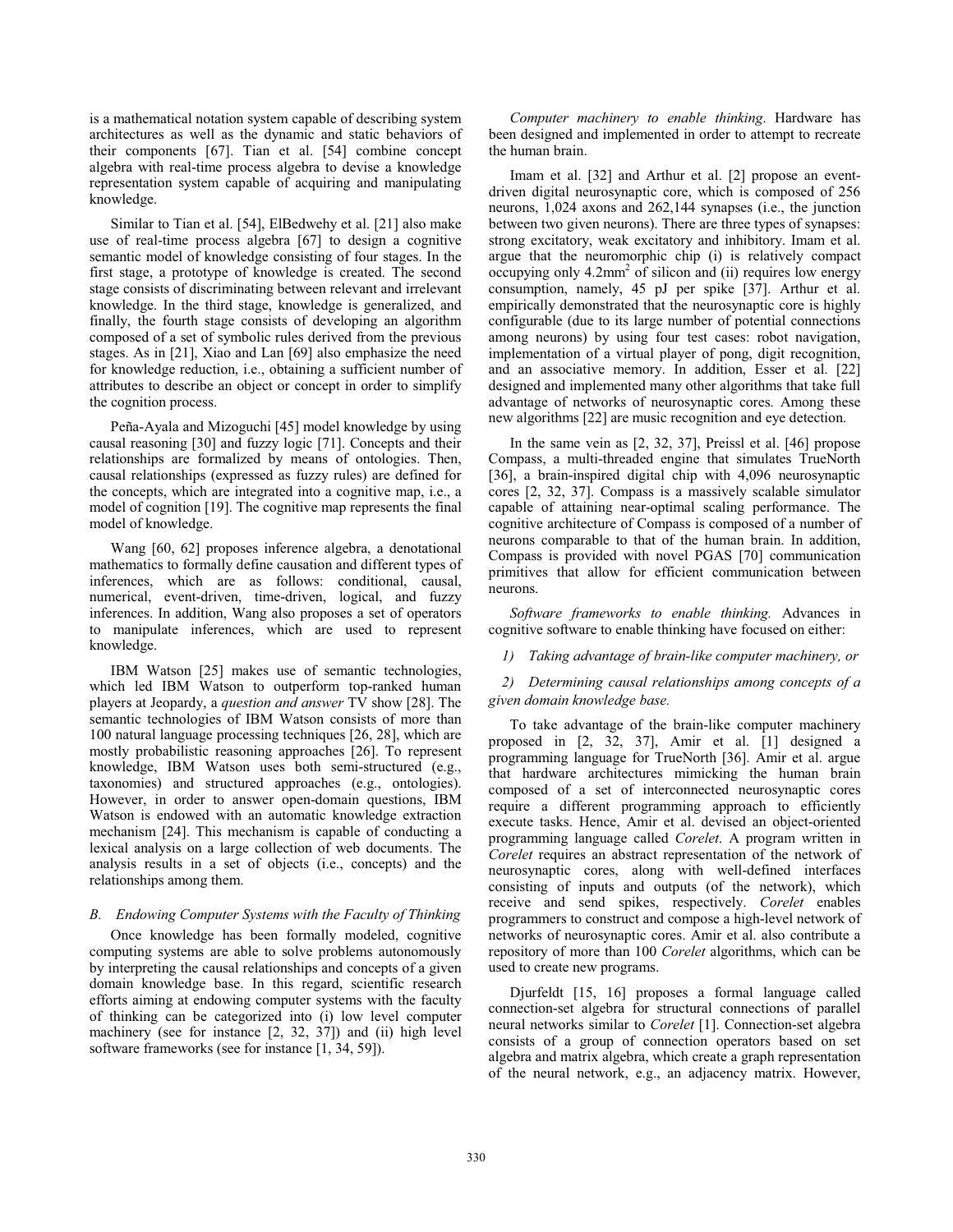is a mathematical notation system capable of describing system architectures as well as the dynamic and static behaviors of their components [67]. Tian et al. [54] combine concept algebra with real-time process algebra to devise a knowledge representation system capable of acquiring and manipulating knowledge.

Similar to Tian et al. [54], ElBedwehy et al. [21] also make use of real-time process algebra [67] to design a cognitive semantic model of knowledge consisting of four stages. In the first stage, a prototype of knowledge is created. The second stage consists of discriminating between relevant and irrelevant knowledge. In the third stage, knowledge is generalized, and finally, the fourth stage consists of developing an algorithm composed of a set of symbolic rules derived from the previous stages. As in [21], Xiao and Lan [69] also emphasize the need for knowledge reduction, i.e., obtaining a sufficient number of attributes to describe an object or concept in order to simplify the cognition process.

Peña-Ayala and Mizoguchi [45] model knowledge by using causal reasoning [30] and fuzzy logic [71]. Concepts and their relationships are formalized by means of ontologies. Then, causal relationships (expressed as fuzzy rules) are defined for the concepts, which are integrated into a cognitive map, i.e., a model of cognition [19]. The cognitive map represents the final model of knowledge.

Wang [60, 62] proposes inference algebra, a denotational mathematics to formally define causation and different types of inferences, which are as follows: conditional, causal, numerical, event-driven, time-driven, logical, and fuzzy inferences. In addition, Wang also proposes a set of operators to manipulate inferences, which are used to represent knowledge.

IBM Watson [25] makes use of semantic technologies, which led IBM Watson to outperform top-ranked human players at Jeopardy, a *question and answer* TV show [28]. The semantic technologies of IBM Watson consists of more than 100 natural language processing techniques [26, 28], which are mostly probabilistic reasoning approaches [26]. To represent knowledge, IBM Watson uses both semi-structured (e.g., taxonomies) and structured approaches (e.g., ontologies). However, in order to answer open-domain questions, IBM Watson is endowed with an automatic knowledge extraction mechanism [24]. This mechanism is capable of conducting a lexical analysis on a large collection of web documents. The analysis results in a set of objects (i.e., concepts) and the relationships among them.

# *B. Endowing Computer Systems with the Faculty of Thinking*

Once knowledge has been formally modeled, cognitive computing systems are able to solve problems autonomously by interpreting the causal relationships and concepts of a given domain knowledge base. In this regard, scientific research efforts aiming at endowing computer systems with the faculty of thinking can be categorized into (i) low level computer machinery (see for instance [2, 32, 37]) and (ii) high level software frameworks (see for instance [1, 34, 59]).

*Computer machinery to enable thinking*. Hardware has been designed and implemented in order to attempt to recreate the human brain.

Imam et al. [32] and Arthur et al. [2] propose an eventdriven digital neurosynaptic core, which is composed of 256 neurons, 1,024 axons and 262,144 synapses (i.e., the junction between two given neurons). There are three types of synapses: strong excitatory, weak excitatory and inhibitory. Imam et al. argue that the neuromorphic chip (i) is relatively compact occupying only 4.2mm<sup>2</sup> of silicon and (ii) requires low energy consumption, namely, 45 pJ per spike [37]. Arthur et al. empirically demonstrated that the neurosynaptic core is highly configurable (due to its large number of potential connections among neurons) by using four test cases: robot navigation, implementation of a virtual player of pong, digit recognition, and an associative memory. In addition, Esser et al. [22] designed and implemented many other algorithms that take full advantage of networks of neurosynaptic cores. Among these new algorithms [22] are music recognition and eye detection.

In the same vein as [2, 32, 37], Preissl et al. [46] propose Compass, a multi-threaded engine that simulates TrueNorth [36], a brain-inspired digital chip with 4,096 neurosynaptic cores [2, 32, 37]. Compass is a massively scalable simulator capable of attaining near-optimal scaling performance. The cognitive architecture of Compass is composed of a number of neurons comparable to that of the human brain. In addition, Compass is provided with novel PGAS [70] communication primitives that allow for efficient communication between neurons.

*Software frameworks to enable thinking.* Advances in cognitive software to enable thinking have focused on either:

*1) Taking advantage of brain-like computer machinery, or* 

*2) Determining causal relationships among concepts of a given domain knowledge base.* 

To take advantage of the brain-like computer machinery proposed in [2, 32, 37], Amir et al. [1] designed a programming language for TrueNorth [36]. Amir et al. argue that hardware architectures mimicking the human brain composed of a set of interconnected neurosynaptic cores require a different programming approach to efficiently execute tasks. Hence, Amir et al. devised an object-oriented programming language called *Corelet*. A program written in *Corelet* requires an abstract representation of the network of neurosynaptic cores, along with well-defined interfaces consisting of inputs and outputs (of the network), which receive and send spikes, respectively. *Corelet* enables programmers to construct and compose a high-level network of networks of neurosynaptic cores. Amir et al. also contribute a repository of more than 100 *Corelet* algorithms, which can be used to create new programs.

Djurfeldt [15, 16] proposes a formal language called connection-set algebra for structural connections of parallel neural networks similar to *Corelet* [1]. Connection-set algebra consists of a group of connection operators based on set algebra and matrix algebra, which create a graph representation of the neural network, e.g., an adjacency matrix. However,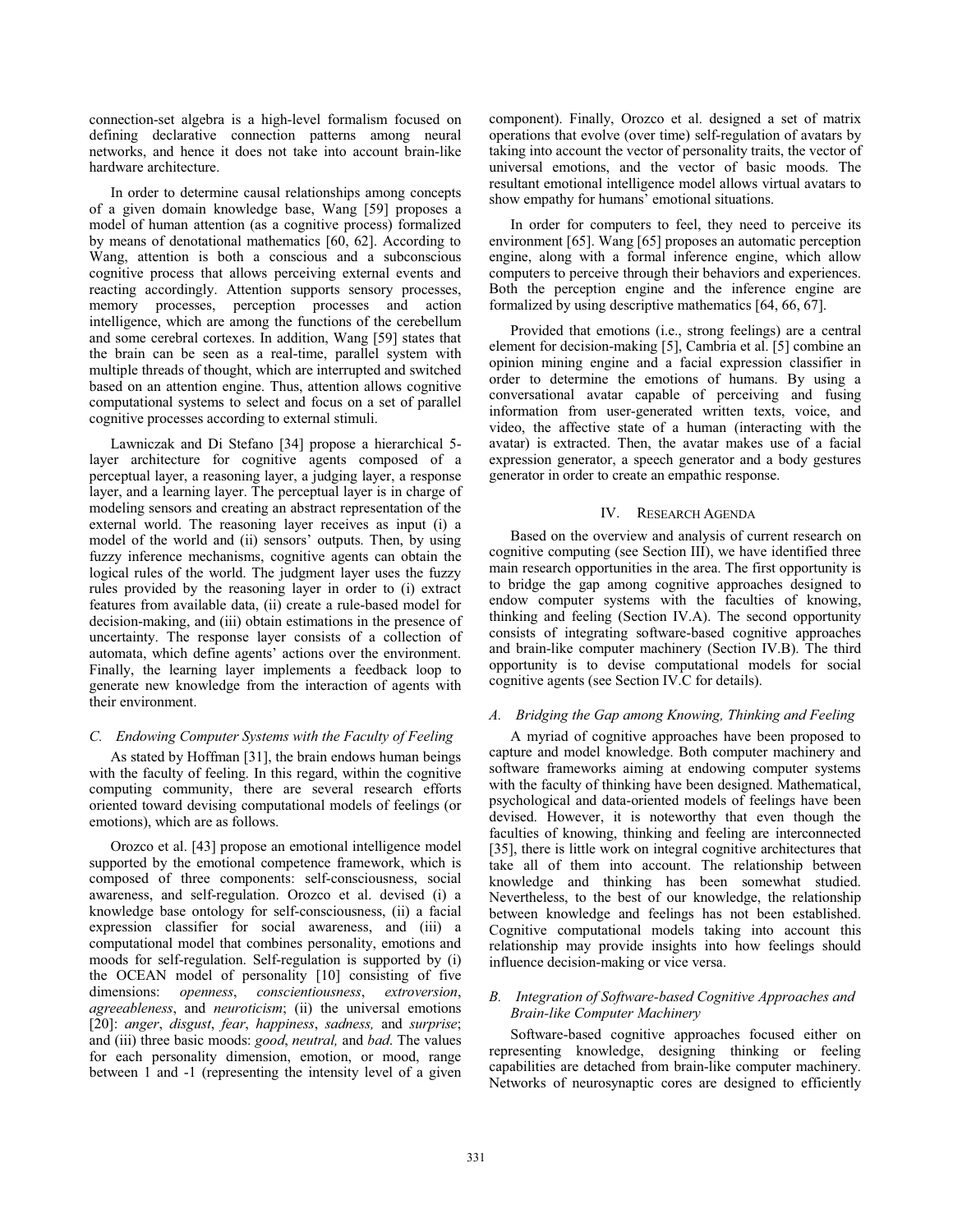connection-set algebra is a high-level formalism focused on defining declarative connection patterns among neural networks, and hence it does not take into account brain-like hardware architecture.

In order to determine causal relationships among concepts of a given domain knowledge base, Wang [59] proposes a model of human attention (as a cognitive process) formalized by means of denotational mathematics [60, 62]. According to Wang, attention is both a conscious and a subconscious cognitive process that allows perceiving external events and reacting accordingly. Attention supports sensory processes, memory processes, perception processes and action intelligence, which are among the functions of the cerebellum and some cerebral cortexes. In addition, Wang [59] states that the brain can be seen as a real-time, parallel system with multiple threads of thought, which are interrupted and switched based on an attention engine. Thus, attention allows cognitive computational systems to select and focus on a set of parallel cognitive processes according to external stimuli.

Lawniczak and Di Stefano [34] propose a hierarchical 5 layer architecture for cognitive agents composed of a perceptual layer, a reasoning layer, a judging layer, a response layer, and a learning layer. The perceptual layer is in charge of modeling sensors and creating an abstract representation of the external world. The reasoning layer receives as input (i) a model of the world and (ii) sensors' outputs. Then, by using fuzzy inference mechanisms, cognitive agents can obtain the logical rules of the world. The judgment layer uses the fuzzy rules provided by the reasoning layer in order to (i) extract features from available data, (ii) create a rule-based model for decision-making, and (iii) obtain estimations in the presence of uncertainty. The response layer consists of a collection of automata, which define agents' actions over the environment. Finally, the learning layer implements a feedback loop to generate new knowledge from the interaction of agents with their environment.

# *C. Endowing Computer Systems with the Faculty of Feeling*

As stated by Hoffman [31], the brain endows human beings with the faculty of feeling. In this regard, within the cognitive computing community, there are several research efforts oriented toward devising computational models of feelings (or emotions), which are as follows.

Orozco et al. [43] propose an emotional intelligence model supported by the emotional competence framework, which is composed of three components: self-consciousness, social awareness, and self-regulation. Orozco et al. devised (i) a knowledge base ontology for self-consciousness, (ii) a facial expression classifier for social awareness, and (iii) a computational model that combines personality, emotions and moods for self-regulation. Self-regulation is supported by (i) the OCEAN model of personality [10] consisting of five dimensions: *openness*, *conscientiousness*, *extroversion*, *agreeableness*, and *neuroticism*; (ii) the universal emotions [20]: *anger*, *disgust*, *fear*, *happiness*, *sadness,* and *surprise*; and (iii) three basic moods: *good*, *neutral,* and *bad*. The values for each personality dimension, emotion, or mood, range between 1 and -1 (representing the intensity level of a given

component). Finally, Orozco et al. designed a set of matrix operations that evolve (over time) self-regulation of avatars by taking into account the vector of personality traits, the vector of universal emotions, and the vector of basic moods. The resultant emotional intelligence model allows virtual avatars to show empathy for humans' emotional situations.

In order for computers to feel, they need to perceive its environment [65]. Wang [65] proposes an automatic perception engine, along with a formal inference engine, which allow computers to perceive through their behaviors and experiences. Both the perception engine and the inference engine are formalized by using descriptive mathematics [64, 66, 67].

Provided that emotions (i.e., strong feelings) are a central element for decision-making [5], Cambria et al. [5] combine an opinion mining engine and a facial expression classifier in order to determine the emotions of humans. By using a conversational avatar capable of perceiving and fusing information from user-generated written texts, voice, and video, the affective state of a human (interacting with the avatar) is extracted. Then, the avatar makes use of a facial expression generator, a speech generator and a body gestures generator in order to create an empathic response.

# IV. RESEARCH AGENDA

Based on the overview and analysis of current research on cognitive computing (see Section III), we have identified three main research opportunities in the area. The first opportunity is to bridge the gap among cognitive approaches designed to endow computer systems with the faculties of knowing, thinking and feeling (Section IV.A). The second opportunity consists of integrating software-based cognitive approaches and brain-like computer machinery (Section IV.B). The third opportunity is to devise computational models for social cognitive agents (see Section IV.C for details).

# *A. Bridging the Gap among Knowing, Thinking and Feeling*

A myriad of cognitive approaches have been proposed to capture and model knowledge. Both computer machinery and software frameworks aiming at endowing computer systems with the faculty of thinking have been designed. Mathematical, psychological and data-oriented models of feelings have been devised. However, it is noteworthy that even though the faculties of knowing, thinking and feeling are interconnected [35], there is little work on integral cognitive architectures that take all of them into account. The relationship between knowledge and thinking has been somewhat studied. Nevertheless, to the best of our knowledge, the relationship between knowledge and feelings has not been established. Cognitive computational models taking into account this relationship may provide insights into how feelings should influence decision-making or vice versa.

# *B. Integration of Software-based Cognitive Approaches and Brain-like Computer Machinery*

 Software-based cognitive approaches focused either on representing knowledge, designing thinking or feeling capabilities are detached from brain-like computer machinery. Networks of neurosynaptic cores are designed to efficiently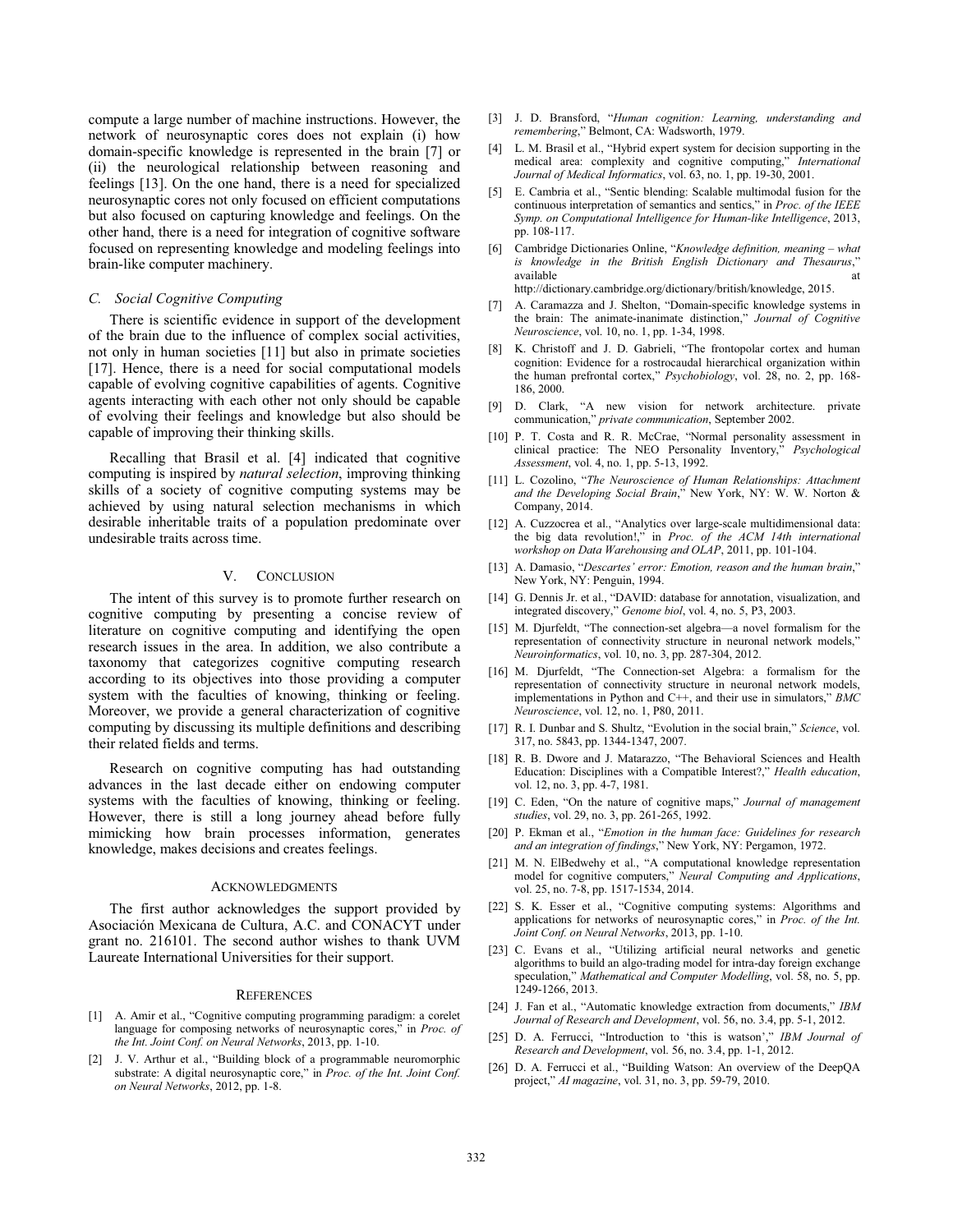compute a large number of machine instructions. However, the network of neurosynaptic cores does not explain (i) how domain-specific knowledge is represented in the brain [7] or (ii) the neurological relationship between reasoning and feelings [13]. On the one hand, there is a need for specialized neurosynaptic cores not only focused on efficient computations but also focused on capturing knowledge and feelings. On the other hand, there is a need for integration of cognitive software focused on representing knowledge and modeling feelings into brain-like computer machinery.

## *C. Social Cognitive Computing*

There is scientific evidence in support of the development of the brain due to the influence of complex social activities, not only in human societies [11] but also in primate societies [17]. Hence, there is a need for social computational models capable of evolving cognitive capabilities of agents. Cognitive agents interacting with each other not only should be capable of evolving their feelings and knowledge but also should be capable of improving their thinking skills.

Recalling that Brasil et al. [4] indicated that cognitive computing is inspired by *natural selection*, improving thinking skills of a society of cognitive computing systems may be achieved by using natural selection mechanisms in which desirable inheritable traits of a population predominate over undesirable traits across time.

## V. CONCLUSION

The intent of this survey is to promote further research on cognitive computing by presenting a concise review of literature on cognitive computing and identifying the open research issues in the area. In addition, we also contribute a taxonomy that categorizes cognitive computing research according to its objectives into those providing a computer system with the faculties of knowing, thinking or feeling. Moreover, we provide a general characterization of cognitive computing by discussing its multiple definitions and describing their related fields and terms.

Research on cognitive computing has had outstanding advances in the last decade either on endowing computer systems with the faculties of knowing, thinking or feeling. However, there is still a long journey ahead before fully mimicking how brain processes information, generates knowledge, makes decisions and creates feelings.

#### ACKNOWLEDGMENTS

The first author acknowledges the support provided by Asociación Mexicana de Cultura, A.C. and CONACYT under grant no. 216101. The second author wishes to thank UVM Laureate International Universities for their support.

#### **REFERENCES**

- [1] A. Amir et al., "Cognitive computing programming paradigm: a corelet language for composing networks of neurosynaptic cores," in *Proc. of the Int. Joint Conf. on Neural Networks*, 2013, pp. 1-10.
- [2] J. V. Arthur et al., "Building block of a programmable neuromorphic substrate: A digital neurosynaptic core," in *Proc. of the Int. Joint Conf. on Neural Networks*, 2012, pp. 1-8.
- [3] J. D. Bransford, "*Human cognition: Learning, understanding and remembering*," Belmont, CA: Wadsworth, 1979.
- [4] L. M. Brasil et al., "Hybrid expert system for decision supporting in the medical area: complexity and cognitive computing," *International Journal of Medical Informatics*, vol. 63, no. 1, pp. 19-30, 2001.
- [5] E. Cambria et al., "Sentic blending: Scalable multimodal fusion for the continuous interpretation of semantics and sentics," in *Proc. of the IEEE Symp. on Computational Intelligence for Human-like Intelligence*, 2013, pp. 108-117.
- [6] Cambridge Dictionaries Online, "*Knowledge definition, meaning what is knowledge in the British English Dictionary and Thesaurus*," available at a structure at a structure at a structure at a structure at a structure at a structure at a structure at a structure at a structure at a structure at  $\alpha$ http://dictionary.cambridge.org/dictionary/british/knowledge, 2015.

- [7] A. Caramazza and J. Shelton, "Domain-specific knowledge systems in the brain: The animate-inanimate distinction," *Journal of Cognitive Neuroscience*, vol. 10, no. 1, pp. 1-34, 1998.
- [8] K. Christoff and J. D. Gabrieli, "The frontopolar cortex and human cognition: Evidence for a rostrocaudal hierarchical organization within the human prefrontal cortex," *Psychobiology*, vol. 28, no. 2, pp. 168- 186, 2000.
- [9] D. Clark, "A new vision for network architecture. private communication," *private communication*, September 2002.
- [10] P. T. Costa and R. R. McCrae, "Normal personality assessment in clinical practice: The NEO Personality Inventory," *Psychological Assessment*, vol. 4, no. 1, pp. 5-13, 1992.
- [11] L. Cozolino, "*The Neuroscience of Human Relationships: Attachment and the Developing Social Brain*," New York, NY: W. W. Norton & Company, 2014.
- [12] A. Cuzzocrea et al., "Analytics over large-scale multidimensional data: the big data revolution!," in *Proc. of the ACM 14th international workshop on Data Warehousing and OLAP*, 2011, pp. 101-104.
- [13] A. Damasio, "*Descartes' error: Emotion, reason and the human brain*," New York, NY: Penguin, 1994.
- [14] G. Dennis Jr. et al., "DAVID: database for annotation, visualization, and integrated discovery," *Genome biol*, vol. 4, no. 5, P3, 2003.
- [15] M. Djurfeldt, "The connection-set algebra—a novel formalism for the representation of connectivity structure in neuronal network models," *Neuroinformatics*, vol. 10, no. 3, pp. 287-304, 2012.
- [16] M. Djurfeldt, "The Connection-set Algebra: a formalism for the representation of connectivity structure in neuronal network models, implementations in Python and C++, and their use in simulators," *BMC Neuroscience*, vol. 12, no. 1, P80, 2011.
- [17] R. I. Dunbar and S. Shultz, "Evolution in the social brain," *Science*, vol. 317, no. 5843, pp. 1344-1347, 2007.
- [18] R. B. Dwore and J. Matarazzo, "The Behavioral Sciences and Health Education: Disciplines with a Compatible Interest?," *Health education*, vol. 12, no. 3, pp. 4-7, 1981.
- [19] C. Eden, "On the nature of cognitive maps," *Journal of management studies*, vol. 29, no. 3, pp. 261-265, 1992.
- [20] P. Ekman et al., "*Emotion in the human face: Guidelines for research and an integration of findings*," New York, NY: Pergamon, 1972.
- [21] M. N. ElBedwehy et al., "A computational knowledge representation model for cognitive computers," *Neural Computing and Applications*, vol. 25, no. 7-8, pp. 1517-1534, 2014.
- [22] S. K. Esser et al., "Cognitive computing systems: Algorithms and applications for networks of neurosynaptic cores," in *Proc. of the Int. Joint Conf. on Neural Networks*, 2013, pp. 1-10.
- [23] C. Evans et al., "Utilizing artificial neural networks and genetic algorithms to build an algo-trading model for intra-day foreign exchange speculation," *Mathematical and Computer Modelling*, vol. 58, no. 5, pp. 1249-1266, 2013.
- [24] J. Fan et al., "Automatic knowledge extraction from documents," *IBM Journal of Research and Development*, vol. 56, no. 3.4, pp. 5-1, 2012.
- [25] D. A. Ferrucci, "Introduction to 'this is watson'," *IBM Journal of Research and Development*, vol. 56, no. 3.4, pp. 1-1, 2012.
- [26] D. A. Ferrucci et al., "Building Watson: An overview of the DeepOA project," *AI magazine*, vol. 31, no. 3, pp. 59-79, 2010.